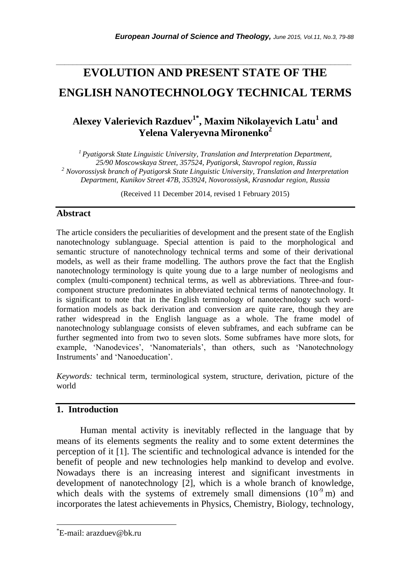# **EVOLUTION AND PRESENT STATE OF THE ENGLISH NANOTECHNOLOGY TECHNICAL TERMS**

*\_\_\_\_\_\_\_\_\_\_\_\_\_\_\_\_\_\_\_\_\_\_\_\_\_\_\_\_\_\_\_\_\_\_\_\_\_\_\_\_\_\_\_\_\_\_\_\_\_\_\_\_\_\_\_\_\_\_\_\_\_\_\_\_\_\_\_\_\_\_\_*

## **Alexey Valerievich Razduev1\* , Maxim Nikolayevich Latu<sup>1</sup> and Yelena Valeryevna Mironenko<sup>2</sup>**

*<sup>1</sup>Pyatigorsk State Linguistic University, Translation and Interpretation Department, 25/90 Moscowskaya Street, 357524, Pyatigorsk, Stavropol region, Russia <sup>2</sup> Novorossiysk branch of Pyatigorsk State Linguistic University, Translation and Interpretation Department, Kunikov Street 47B, 353924, Novorossiysk, Krasnodar region, Russia*

(Received 11 December 2014, revised 1 February 2015)

#### **Abstract**

The article considers the peculiarities of development and the present state of the English nanotechnology sublanguage. Special attention is paid to the morphological and semantic structure of nanotechnology technical terms and some of their derivational models, as well as their frame modelling. The authors prove the fact that the English nanotechnology terminology is quite young due to a large number of neologisms and complex (multi-component) technical terms, as well as abbreviations. Three-and fourcomponent structure predominates in abbreviated technical terms of nanotechnology. It is significant to note that in the English terminology of nanotechnology such wordformation models as back derivation and conversion are quite rare, though they are rather widespread in the English language as a whole. The frame model of nanotechnology sublanguage consists of eleven subframes, and each subframe can be further segmented into from two to seven slots. Some subframes have more slots, for example, 'Nanodevices', 'Nanomaterials', than others, such as 'Nanotechnology Instruments' and 'Nanoeducation'.

*Keywords:* technical term, terminological system, structure, derivation, picture of the world

#### **1. Introduction**

Human mental activity is inevitably reflected in the language that by means of its elements segments the reality and to some extent determines the perception of it [1]. The scientific and technological advance is intended for the benefit of people and new technologies help mankind to develop and evolve. Nowadays there is an increasing interest and significant investments in development of nanotechnology [2], which is a whole branch of knowledge, which deals with the systems of extremely small dimensions  $(10^{-9} \text{ m})$  and incorporates the latest achievements in Physics, Chemistry, Biology, technology,

l

<sup>\*</sup>E-mail: arazduev@bk.ru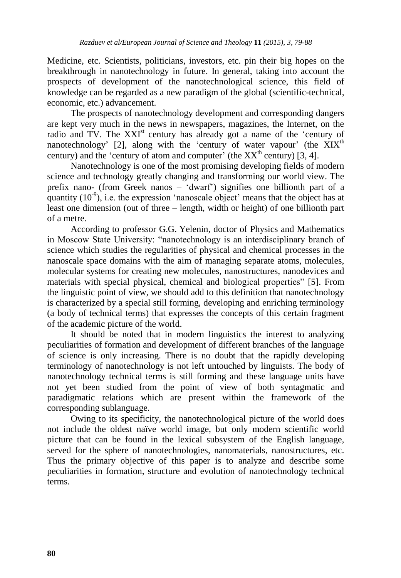Medicine, etc. Scientists, politicians, investors, etc. pin their big hopes on the breakthrough in nanotechnology in future. In general, taking into account the prospects of development of the nanotechnological science, this field of knowledge can be regarded as a new paradigm of the global (scientific-technical, economic, etc.) advancement.

The prospects of nanotechnology development and corresponding dangers are kept very much in the news in newspapers, magazines, the Internet, on the radio and TV. The XXI<sup>st</sup> century has already got a name of the 'century of nanotechnology' [2], along with the 'century of water vapour' (the  $XIX<sup>th</sup>$ century) and the 'century of atom and computer' (the  $XX<sup>th</sup>$  century) [3, 4].

Nanotechnology is one of the most promising developing fields of modern science and technology greatly changing and transforming our world view. The prefix nano- (from Greek nanos – "dwarf") signifies one billionth part of a quantity  $(10^{-9})$ , i.e. the expression 'nanoscale object' means that the object has at least one dimension (out of three – length, width or height) of one billionth part of a metre.

According to professor G.G. Yelenin, doctor of Physics and Mathematics in Moscow State University: "nanotechnology is an interdisciplinary branch of science which studies the regularities of physical and chemical processes in the nanoscale space domains with the aim of managing separate atoms, molecules, molecular systems for creating new molecules, nanostructures, nanodevices and materials with special physical, chemical and biological properties" [5]. From the linguistic point of view, we should add to this definition that nanotechnology is characterized by a special still forming, developing and enriching terminology (a body of technical terms) that expresses the concepts of this certain fragment of the academic picture of the world.

It should be noted that in modern linguistics the interest to analyzing peculiarities of formation and development of different branches of the language of science is only increasing. There is no doubt that the rapidly developing terminology of nanotechnology is not left untouched by linguists. The body of nanotechnology technical terms is still forming and these language units have not yet been studied from the point of view of both syntagmatic and paradigmatic relations which are present within the framework of the corresponding sublanguage.

Owing to its specificity, the nanotechnological picture of the world does not include the oldest naïve world image, but only modern scientific world picture that can be found in the lexical subsystem of the English language, served for the sphere of nanotechnologies, nanomaterials, nanostructures, etc. Thus the primary objective of this paper is to analyze and describe some peculiarities in formation, structure and evolution of nanotechnology technical terms.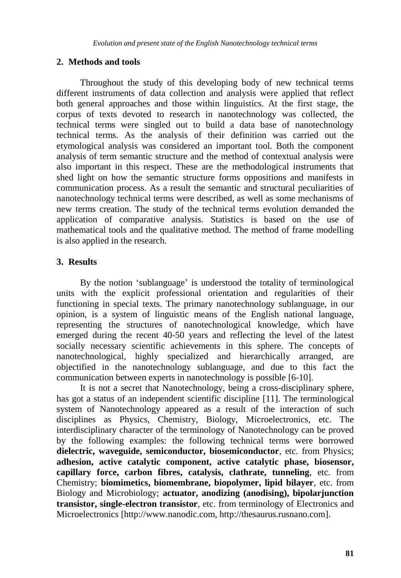#### **2. Methods and tools**

Throughout the study of this developing body of new technical terms different instruments of data collection and analysis were applied that reflect both general approaches and those within linguistics. At the first stage, the corpus of texts devoted to research in nanotechnology was collected, the technical terms were singled out to build a data base of nanotechnology technical terms. As the analysis of their definition was carried out the etymological analysis was considered an important tool. Both the component analysis of term semantic structure and the method of contextual analysis were also important in this respect. These are the methodological instruments that shed light on how the semantic structure forms oppositions and manifests in communication process. As a result the semantic and structural peculiarities of nanotechnology technical terms were described, as well as some mechanisms of new terms creation. The study of the technical terms evolution demanded the application of comparative analysis. Statistics is based on the use of mathematical tools and the qualitative method. The method of frame modelling is also applied in the research.

### **3. Results**

By the notion "sublanguage" is understood the totality of terminological units with the explicit professional orientation and regularities of their functioning in special texts. The primary nanotechnology sublanguage, in our opinion, is a system of linguistic means of the English national language, representing the structures of nanotechnological knowledge, which have emerged during the recent 40-50 years and reflecting the level of the latest socially necessary scientific achievements in this sphere. The concepts of nanotechnological, highly specialized and hierarchically arranged, are objectified in the nanotechnology sublanguage, and due to this fact the communication between experts in nanotechnology is possible [6-10].

It is not a secret that Nanotechnology, being a cross-disciplinary sphere, has got a status of an independent scientific discipline [11]. The terminological system of Nanotechnology appeared as a result of the interaction of such disciplines as Physics, Chemistry, Biology, Microelectronics, etc. The interdisciplinary character of the terminology of Nanotechnology can be proved by the following examples: the following technical terms were borrowed **dielectric, waveguide, semiconductor, biosemiconductor**, etc. from Physics; **adhesion, active catalytic component, active catalytic phase, biosensor, capillary force, carbon fibres, catalysis, clathrate, tunneling**, etc. from Chemistry; **biomimetics, biomembrane, biopolymer, lipid bilayer**, etc. from Biology and Microbiology; **actuator, anodizing (anodising), bipolarjunction transistor, single-electron transistor**, etc. from terminology of Electronics and Microelectronics [http://www.nanodic.com, http://thesaurus.rusnano.com].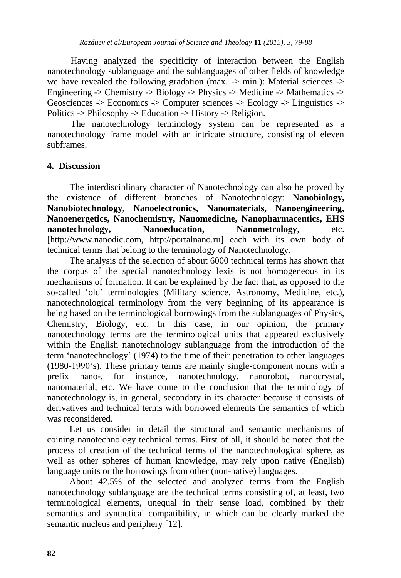Having analyzed the specificity of interaction between the English nanotechnology sublanguage and the sublanguages of other fields of knowledge we have revealed the following gradation (max.  $\rightarrow$  min.): Material sciences  $\rightarrow$ Engineering -> Chemistry -> Biology -> Physics -> Medicine -> Mathematics -> Geosciences -> Economics -> Computer sciences -> Ecology -> Linguistics -> Politics -> Philosophy -> Education -> History -> Religion.

The nanotechnology terminology system can be represented as a nanotechnology frame model with an intricate structure, consisting of eleven subframes.

#### **4. Discussion**

The interdisciplinary character of Nanotechnology can also be proved by the existence of different branches of Nanotechnology: **Nanobiology, Nanobiotechnology, Nanoelectronics, Nanomaterials, Nanoengineering, Nanoenergetics, Nanochemistry, Nanomedicine, Nanopharmaceutics, EHS nanotechnology, Nanoeducation, Nanometrology**, etc. [http://www.nanodic.com, http://portalnano.ru] each with its own body of technical terms that belong to the terminology of Nanotechnology.

The analysis of the selection of about 6000 technical terms has shown that the corpus of the special nanotechnology lexis is not homogeneous in its mechanisms of formation. It can be explained by the fact that, as opposed to the so-called "old" terminologies (Military science, Astronomy, Medicine, etc.), nanotechnological terminology from the very beginning of its appearance is being based on the terminological borrowings from the sublanguages of Physics, Chemistry, Biology, etc. In this case, in our opinion, the primary nanotechnology terms are the terminological units that appeared exclusively within the English nanotechnology sublanguage from the introduction of the term "nanotechnology" (1974) to the time of their penetration to other languages (1980-1990"s). These primary terms are mainly single-component nouns with a prefix nano-, for instance, nanotechnology, nanorobot, nanocrystal, nanomaterial, etc. We have come to the conclusion that the terminology of nanotechnology is, in general, secondary in its character because it consists of derivatives and technical terms with borrowed elements the semantics of which was reconsidered.

Let us consider in detail the structural and semantic mechanisms of coining nanotechnology technical terms. First of all, it should be noted that the process of creation of the technical terms of the nanotechnological sphere, as well as other spheres of human knowledge, may rely upon native (English) language units or the borrowings from other (non-native) languages.

About 42.5% of the selected and analyzed terms from the English nanotechnology sublanguage are the technical terms consisting of, at least, two terminological elements, unequal in their sense load, combined by their semantics and syntactical compatibility, in which can be clearly marked the semantic nucleus and periphery [12].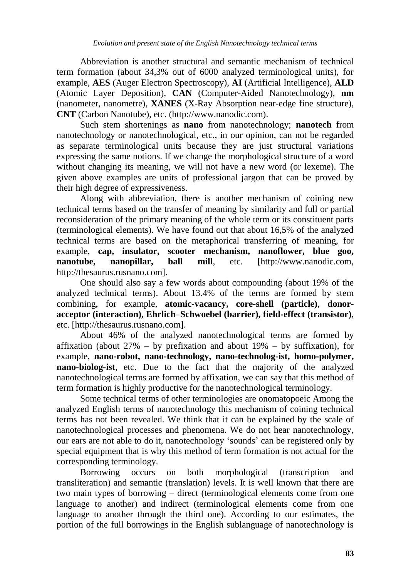Abbreviation is another structural and semantic mechanism of technical term formation (about 34,3% out of 6000 analyzed terminological units), for example, **AES** (Auger Electron Spectroscopy), **AI** (Artificial Intelligence), **ALD** (Atomic Layer Deposition), **CAN** (Computer-Aided Nanotechnology), **nm** (nanometer, nanometre), **XANES** (X-Ray Absorption near-edge fine structure), **CNT** (Carbon Nanotube), etc. (http://www.nanodic.com).

Such stem shortenings as **nano** from nanotechnology; **nanotech** from nanotechnology or nanotechnological, etc., in our opinion, can not be regarded as separate terminological units because they are just structural variations expressing the same notions. If we change the morphological structure of a word without changing its meaning, we will not have a new word (or lexeme). The given above examples are units of professional jargon that can be proved by their high degree of expressiveness.

Along with abbreviation, there is another mechanism of coining new technical terms based on the transfer of meaning by similarity and full or partial reconsideration of the primary meaning of the whole term or its constituent parts (terminological elements). We have found out that about 16,5% of the analyzed technical terms are based on the metaphorical transferring of meaning, for example, **cap, insulator, scooter mechanism, nanoflower, blue goo, nanotube, nanopillar, ball mill**, etc. [http://www.nanodic.com, http://thesaurus.rusnano.com].

One should also say a few words about compounding (about 19% of the analyzed technical terms). About 13.4% of the terms are formed by stem combining, for example, **atomic-vacancy, core-shell (particle)**, **donoracceptor (interaction), Ehrlich–Schwoebel (barrier), field-effect (transistor)**, etc. [http://thesaurus.rusnano.com].

About 46% of the analyzed nanotechnological terms are formed by affixation (about  $27\%$  – by prefixation and about  $19\%$  – by suffixation), for example, **nano-robot, nano-technology, nano-technolog-ist, homo-polymer, nano-biolog-ist**, etc. Due to the fact that the majority of the analyzed nanotechnological terms are formed by affixation, we can say that this method of term formation is highly productive for the nanotechnological terminology.

Some technical terms of other terminologies are onomatopoeic Among the analyzed English terms of nanotechnology this mechanism of coining technical terms has not been revealed. We think that it can be explained by the scale of nanotechnological processes and phenomena. We do not hear nanotechnology, our ears are not able to do it, nanotechnology "sounds" can be registered only by special equipment that is why this method of term formation is not actual for the corresponding terminology.

Borrowing occurs on both morphological (transcription and transliteration) and semantic (translation) levels. It is well known that there are two main types of borrowing – direct (terminological elements come from one language to another) and indirect (terminological elements come from one language to another through the third one). According to our estimates, the portion of the full borrowings in the English sublanguage of nanotechnology is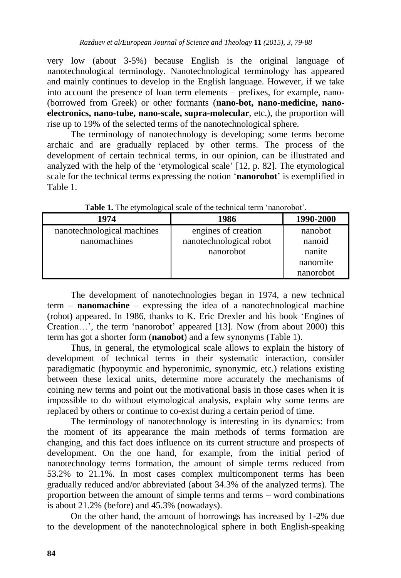very low (about 3-5%) because English is the original language of nanotechnological terminology. Nanotechnological terminology has appeared and mainly continues to develop in the English language. However, if we take into account the presence of loan term elements – prefixes, for example, nano- (borrowed from Greek) or other formants (**nano-bot, nano-medicine, nanoelectronics, nano-tube, nano-scale, supra-molecular**, etc.), the proportion will rise up to 19% of the selected terms of the nanotechnological sphere.

The terminology of nanotechnology is developing; some terms become archaic and are gradually replaced by other terms. The process of the development of certain technical terms, in our opinion, can be illustrated and analyzed with the help of the "etymological scale" [12, p. 82]. The etymological scale for the technical terms expressing the notion "**nanorobot**" is exemplified in Table 1.

| 1974                       | 1986                    | 1990-2000 |
|----------------------------|-------------------------|-----------|
| nanotechnological machines | engines of creation     | nanobot   |
| nanomachines               | nanotechnological robot | nanoid    |
|                            | nanorobot               | nanite    |
|                            |                         | nanomite  |
|                            |                         | nanorobot |

Table 1. The etymological scale of the technical term 'nanorobot'.

The development of nanotechnologies began in 1974, a new technical term – **nanomachine** – expressing the idea of a nanotechnological machine (robot) appeared. In 1986, thanks to K. Eric Drexler and his book "Engines of Creation…", the term "nanorobot" appeared [13]. Now (from about 2000) this term has got a shorter form (**nanobot**) and a few synonyms (Table 1).

Thus, in general, the etymological scale allows to explain the history of development of technical terms in their systematic interaction, consider paradigmatic (hyponymic and hyperonimic, synonymic, etc.) relations existing between these lexical units, determine more accurately the mechanisms of coining new terms and point out the motivational basis in those cases when it is impossible to do without etymological analysis, explain why some terms are replaced by others or continue to co-exist during a certain period of time.

The terminology of nanotechnology is interesting in its dynamics: from the moment of its appearance the main methods of terms formation are changing, and this fact does influence on its current structure and prospects of development. On the one hand, for example, from the initial period of nanotechnology terms formation, the amount of simple terms reduced from 53.2% to 21.1%. In most cases complex multicomponent terms has been gradually reduced and/or abbreviated (about 34.3% of the analyzed terms). The proportion between the amount of simple terms and terms – word combinations is about 21.2% (before) and 45.3% (nowadays).

On the other hand, the amount of borrowings has increased by 1-2% due to the development of the nanotechnological sphere in both English-speaking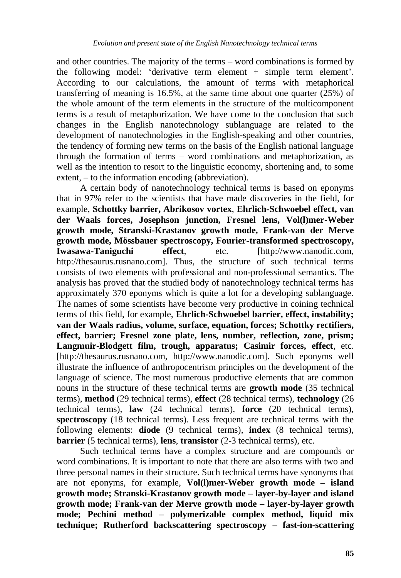and other countries. The majority of the terms – word combinations is formed by the following model: "derivative term element + simple term element". According to our calculations, the amount of terms with metaphorical transferring of meaning is 16.5%, at the same time about one quarter  $(25%)$  of the whole amount of the term elements in the structure of the multicomponent terms is a result of metaphorization. We have come to the conclusion that such changes in the English nanotechnology sublanguage are related to the development of nanotechnologies in the English-speaking and other countries, the tendency of forming new terms on the basis of the English national language through the formation of terms – word combinations and metaphorization, as well as the intention to resort to the linguistic economy, shortening and, to some extent, – to the information encoding (abbreviation).

A certain body of nanotechnology technical terms is based on eponyms that in 97% refer to the scientists that have made discoveries in the field, for example, **Schottky barrier, Abrikosov vortex**, **Ehrlich-Schwoebel effect, van der Waals forces, Josephson junction, Fresnel lens, Vol(l)mer-Weber growth mode, Stranski-Krastanov growth mode, Frank-van der Merve growth mode, Mössbauer spectroscopy, Fourier-transformed spectroscopy, Iwasawa-Taniguchi effect**, etc. [http://www.nanodic.com, http://thesaurus.rusnano.com]. Thus, the structure of such technical terms consists of two elements with professional and non-professional semantics. The analysis has proved that the studied body of nanotechnology technical terms has approximately 370 eponyms which is quite a lot for a developing sublanguage. The names of some scientists have become very productive in coining technical terms of this field, for example, **Ehrlich-Schwoebel barrier, effect, instability; van der Waals radius, volume, surface, equation, forces; Schottky rectifiers, effect, barrier; Fresnel zone plate, lens, number, reflection, zone, prism; Langmuir-Blodgett film, trough, apparatus; Casimir forces, effect**, etc. [http://thesaurus.rusnano.com, http://www.nanodic.com]. Such eponyms well illustrate the influence of anthropocentrism principles on the development of the language of science. The most numerous productive elements that are common nouns in the structure of these technical terms are **growth mode** (35 technical terms), **method** (29 technical terms), **effect** (28 technical terms), **technology** (26 technical terms), **law** (24 technical terms), **force** (20 technical terms), **spectroscopy** (18 technical terms). Less frequent are technical terms with the following elements: **diode** (9 technical terms), **index** (8 technical terms), **barrier** (5 technical terms), **lens**, **transistor** (2-3 technical terms), etc.

Such technical terms have a complex structure and are compounds or word combinations. It is important to note that there are also terms with two and three personal names in their structure. Such technical terms have synonyms that are not eponyms, for example, **Vol(l)mer-Weber growth mode – island growth mode; Stranski-Krastanov growth mode – layer-by-layer and island growth mode; Frank-van der Merve growth mode – layer-by-layer growth mode; Pechini method – polymerizable complex method, liquid mix technique; Rutherford backscattering spectroscopy – fast-ion-scattering**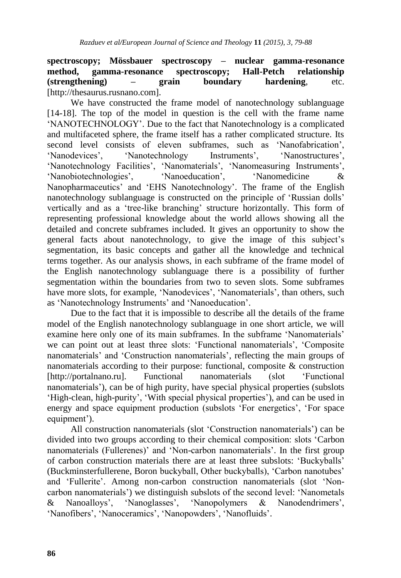**spectroscopy; Mössbauer spectroscopy – nuclear gamma-resonance method, gamma-resonance spectroscopy; Hall-Petch relationship (strengthening) – grain boundary hardening**, etc. [http://thesaurus.rusnano.com].

We have constructed the frame model of nanotechnology sublanguage [14-18]. The top of the model in question is the cell with the frame name "NANOTECHNOLOGY". Due to the fact that Nanotechnology is a complicated and multifaceted sphere, the frame itself has a rather complicated structure. Its second level consists of eleven subframes, such as "Nanofabrication", 'Nanodevices'. 'Nanotechnology Instruments', 'Nanostructures', 'Nanotechnology Facilities', 'Nanomaterials', 'Nanomeasuring Instruments', "Nanobiotechnologies", "Nanoeducation", "Nanomedicine & Nanopharmaceutics' and 'EHS Nanotechnology'. The frame of the English nanotechnology sublanguage is constructed on the principle of "Russian dolls" vertically and as a "tree-like branching" structure horizontally. This form of representing professional knowledge about the world allows showing all the detailed and concrete subframes included. It gives an opportunity to show the general facts about nanotechnology, to give the image of this subject"s segmentation, its basic concepts and gather all the knowledge and technical terms together. As our analysis shows, in each subframe of the frame model of the English nanotechnology sublanguage there is a possibility of further segmentation within the boundaries from two to seven slots. Some subframes have more slots, for example, 'Nanodevices', 'Nanomaterials', than others, such as 'Nanotechnology Instruments' and 'Nanoeducation'.

Due to the fact that it is impossible to describe all the details of the frame model of the English nanotechnology sublanguage in one short article, we will examine here only one of its main subframes. In the subframe 'Nanomaterials' we can point out at least three slots: 'Functional nanomaterials', 'Composite nanomaterials' and 'Construction nanomaterials', reflecting the main groups of nanomaterials according to their purpose: functional, composite & construction [http://portalnano.ru]. Functional nanomaterials (slot "Functional nanomaterials"), can be of high purity, have special physical properties (subslots 'High-clean, high-purity', 'With special physical properties'), and can be used in energy and space equipment production (subslots 'For energetics', 'For space equipment').

All construction nanomaterials (slot "Construction nanomaterials") can be divided into two groups according to their chemical composition: slots "Carbon nanomaterials (Fullerenes)' and 'Non-carbon nanomaterials'. In the first group of carbon construction materials there are at least three subslots: "Buckyballs" (Buckminsterfullerene, Boron buckyball, Other buckyballs), "Carbon nanotubes" and "Fullerite". Among non-carbon construction nanomaterials (slot "Noncarbon nanomaterials") we distinguish subslots of the second level: "Nanometals & Nanoalloys", "Nanoglasses", "Nanopolymers & Nanodendrimers", 'Nanofibers', 'Nanoceramics', 'Nanopowders', 'Nanofluids'.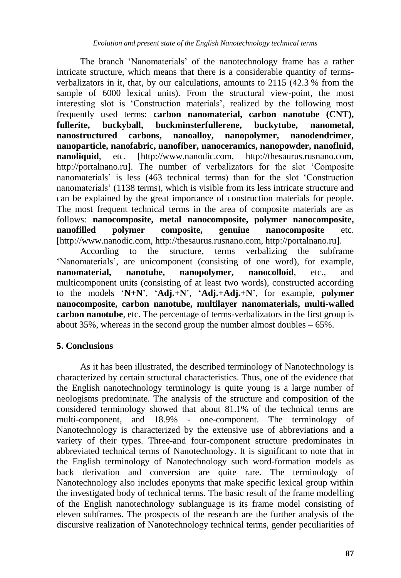The branch "Nanomaterials" of the nanotechnology frame has a rather intricate structure, which means that there is a considerable quantity of termsverbalizators in it, that, by our calculations, amounts to  $2115 \overline{(42.3\% \text{ from the}]}$ sample of 6000 lexical units). From the structural view-point, the most interesting slot is 'Construction materials', realized by the following most frequently used terms: **carbon nanomaterial, carbon nanotube (CNT), fullerite, buckyball, buckminsterfullerene, buckytube, nanometal, nanostructured carbons, nanoalloy, nanopolymer, nanodendrimer, nanoparticle, nanofabric, nanofiber, nanoceramics, nanopowder, nanofluid, nanoliquid.** etc. [http://www.nanodic.com, http://thesaurus.rusnano.com, http://portalnano.ru]. The number of verbalizators for the slot "Composite nanomaterials" is less (463 technical terms) than for the slot "Construction nanomaterials" (1138 terms), which is visible from its less intricate structure and can be explained by the great importance of construction materials for people. The most frequent technical terms in the area of composite materials are as follows: **nanocomposite, metal nanocomposite, polymer nanocomposite, nanofilled polymer composite, genuine nanocomposite** etc. [http://www.nanodic.com, http://thesaurus.rusnano.com, http://portalnano.ru].

According to the structure, terms verbalizing the subframe 'Nanomaterials', are unicomponent (consisting of one word), for example, **nanomaterial, nanotube, nanopolymer, nanocolloid***,* etc., and multicomponent units (consisting of at least two words), constructed according to the models "**N+N**", "**Adj.+N**", "**Adj.+Adj.+N**", for example, **polymer nanocomposite, carbon nanotube, multilayer nanomaterials, multi-walled carbon nanotube**, etc. The percentage of terms-verbalizators in the first group is about  $35\%$ , whereas in the second group the number almost doubles  $-65\%$ .

## **5. Conclusions**

As it has been illustrated, the described terminology of Nanotechnology is characterized by certain structural characteristics. Thus, one of the evidence that the English nanotechnology terminology is quite young is a large number of neologisms predominate. The analysis of the structure and composition of the considered terminology showed that about 81.1% of the technical terms are multi-component, and 18.9% - one-component. The terminology of Nanotechnology is characterized by the extensive use of abbreviations and a variety of their types. Three-and four-component structure predominates in abbreviated technical terms of Nanotechnology. It is significant to note that in the English terminology of Nanotechnology such word-formation models as back derivation and conversion are quite rare. The terminology of Nanotechnology also includes eponyms that make specific lexical group within the investigated body of technical terms. The basic result of the frame modelling of the English nanotechnology sublanguage is its frame model consisting of eleven subframes. The prospects of the research are the further analysis of the discursive realization of Nanotechnology technical terms, gender peculiarities of